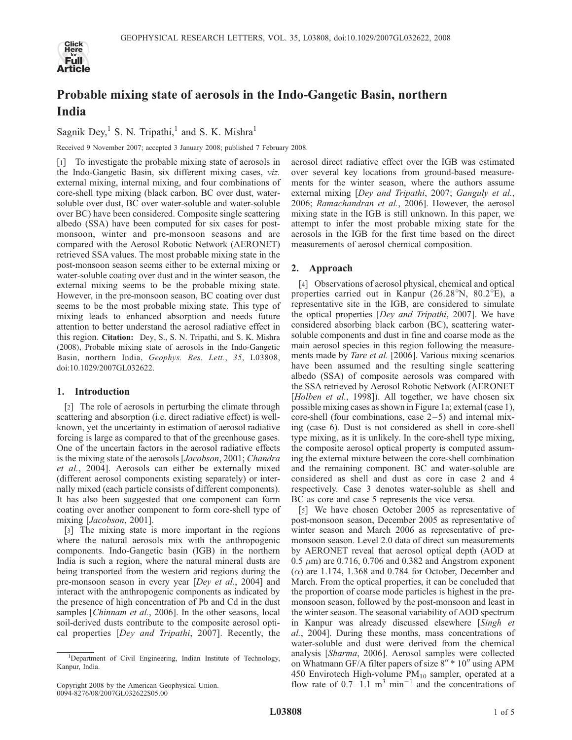

# Probable mixing state of aerosols in the Indo-Gangetic Basin, northern India

Sagnik Dey,<sup>1</sup> S. N. Tripathi,<sup>1</sup> and S. K. Mishra<sup>1</sup>

Received 9 November 2007; accepted 3 January 2008; published 7 February 2008.

[1] To investigate the probable mixing state of aerosols in the Indo-Gangetic Basin, six different mixing cases, viz. external mixing, internal mixing, and four combinations of core-shell type mixing (black carbon, BC over dust, watersoluble over dust, BC over water-soluble and water-soluble over BC) have been considered. Composite single scattering albedo (SSA) have been computed for six cases for postmonsoon, winter and pre-monsoon seasons and are compared with the Aerosol Robotic Network (AERONET) retrieved SSA values. The most probable mixing state in the post-monsoon season seems either to be external mixing or water-soluble coating over dust and in the winter season, the external mixing seems to be the probable mixing state. However, in the pre-monsoon season, BC coating over dust seems to be the most probable mixing state. This type of mixing leads to enhanced absorption and needs future attention to better understand the aerosol radiative effect in this region. Citation: Dey, S., S. N. Tripathi, and S. K. Mishra (2008), Probable mixing state of aerosols in the Indo-Gangetic Basin, northern India, Geophys. Res. Lett., 35, L03808, doi:10.1029/2007GL032622.

# 1. Introduction

[2] The role of aerosols in perturbing the climate through scattering and absorption (i.e. direct radiative effect) is wellknown, yet the uncertainty in estimation of aerosol radiative forcing is large as compared to that of the greenhouse gases. One of the uncertain factors in the aerosol radiative effects is the mixing state of the aerosols [Jacobson, 2001; Chandra et al., 2004]. Aerosols can either be externally mixed (different aerosol components existing separately) or internally mixed (each particle consists of different components). It has also been suggested that one component can form coating over another component to form core-shell type of mixing [Jacobson, 2001].

[3] The mixing state is more important in the regions where the natural aerosols mix with the anthropogenic components. Indo-Gangetic basin (IGB) in the northern India is such a region, where the natural mineral dusts are being transported from the western arid regions during the pre-monsoon season in every year [Dey et al., 2004] and interact with the anthropogenic components as indicated by the presence of high concentration of Pb and Cd in the dust samples [Chinnam et al., 2006]. In the other seasons, local soil-derived dusts contribute to the composite aerosol optical properties [Dey and Tripathi, 2007]. Recently, the

aerosol direct radiative effect over the IGB was estimated over several key locations from ground-based measurements for the winter season, where the authors assume external mixing [Dey and Tripathi, 2007; Ganguly et al., 2006; Ramachandran et al., 2006]. However, the aerosol mixing state in the IGB is still unknown. In this paper, we attempt to infer the most probable mixing state for the aerosols in the IGB for the first time based on the direct measurements of aerosol chemical composition.

# 2. Approach

[4] Observations of aerosol physical, chemical and optical properties carried out in Kanpur  $(26.28^{\circ}N, 80.2^{\circ}E)$ , a representative site in the IGB, are considered to simulate the optical properties [Dey and Tripathi, 2007]. We have considered absorbing black carbon (BC), scattering watersoluble components and dust in fine and coarse mode as the main aerosol species in this region following the measurements made by Tare et al. [2006]. Various mixing scenarios have been assumed and the resulting single scattering albedo (SSA) of composite aerosols was compared with the SSA retrieved by Aerosol Robotic Network (AERONET [Holben et al., 1998]). All together, we have chosen six possible mixing cases as shown in Figure 1a; external (case 1), core-shell (four combinations, case  $2-5$ ) and internal mixing (case 6). Dust is not considered as shell in core-shell type mixing, as it is unlikely. In the core-shell type mixing, the composite aerosol optical property is computed assuming the external mixture between the core-shell combination and the remaining component. BC and water-soluble are considered as shell and dust as core in case 2 and 4 respectively. Case 3 denotes water-soluble as shell and BC as core and case 5 represents the vice versa.

[5] We have chosen October 2005 as representative of post-monsoon season, December 2005 as representative of winter season and March 2006 as representative of premonsoon season. Level 2.0 data of direct sun measurements by AERONET reveal that aerosol optical depth (AOD at  $0.5 \mu m$ ) are 0.716, 0.706 and 0.382 and Angstrom exponent  $(\alpha)$  are 1.174, 1.368 and 0.784 for October, December and March. From the optical properties, it can be concluded that the proportion of coarse mode particles is highest in the premonsoon season, followed by the post-monsoon and least in the winter season. The seasonal variability of AOD spectrum in Kanpur was already discussed elsewhere [Singh et al., 2004]. During these months, mass concentrations of water-soluble and dust were derived from the chemical analysis [Sharma, 2006]. Aerosol samples were collected on Whatmann GF/A filter papers of size  $8'' * 10''$  using APM 450 Envirotech High-volume  $PM_{10}$  sampler, operated at a flow rate of  $0.7-1.1$  m<sup>3</sup> min<sup>-1</sup> and the concentrations of

<sup>&</sup>lt;sup>1</sup>Department of Civil Engineering, Indian Institute of Technology, Kanpur, India.

Copyright 2008 by the American Geophysical Union. 0094-8276/08/2007GL032622\$05.00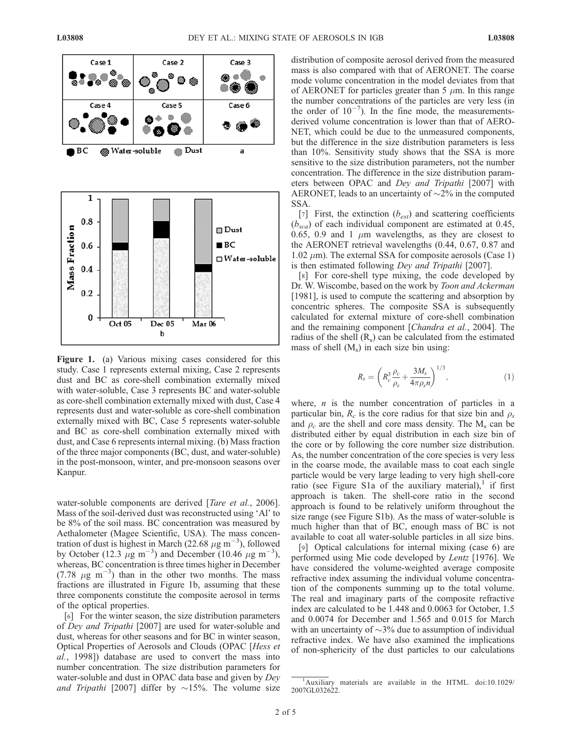

Figure 1. (a) Various mixing cases considered for this study. Case 1 represents external mixing, Case 2 represents dust and BC as core-shell combination externally mixed with water-soluble, Case 3 represents BC and water-soluble as core-shell combination externally mixed with dust, Case 4 represents dust and water-soluble as core-shell combination externally mixed with BC, Case 5 represents water-soluble and BC as core-shell combination externally mixed with dust, and Case 6 represents internal mixing. (b) Mass fraction of the three major components (BC, dust, and water-soluble) in the post-monsoon, winter, and pre-monsoon seasons over Kanpur.

water-soluble components are derived [Tare et al., 2006]. Mass of the soil-derived dust was reconstructed using 'Al' to be 8% of the soil mass. BC concentration was measured by Aethalometer (Magee Scientific, USA). The mass concentration of dust is highest in March (22.68  $\mu$ g m<sup>-3</sup>), followed by October (12.3  $\mu$ g m<sup>-3</sup>) and December (10.46  $\mu$ g m<sup>-3</sup>), whereas, BC concentration is three times higher in December (7.78  $\mu$ g m<sup>-3</sup>) than in the other two months. The mass fractions are illustrated in Figure 1b, assuming that these three components constitute the composite aerosol in terms of the optical properties.

[6] For the winter season, the size distribution parameters of Dey and Tripathi [2007] are used for water-soluble and dust, whereas for other seasons and for BC in winter season, Optical Properties of Aerosols and Clouds (OPAC [Hess et al., 1998]) database are used to convert the mass into number concentration. The size distribution parameters for water-soluble and dust in OPAC data base and given by Dey and Tripathi [2007] differ by  $\sim$ 15%. The volume size distribution of composite aerosol derived from the measured mass is also compared with that of AERONET. The coarse mode volume concentration in the model deviates from that of AERONET for particles greater than 5  $\mu$ m. In this range the number concentrations of the particles are very less (in the order of  $10^{-7}$ ). In the fine mode, the measurementsderived volume concentration is lower than that of AERO-NET, which could be due to the unmeasured components, but the difference in the size distribution parameters is less than 10%. Sensitivity study shows that the SSA is more sensitive to the size distribution parameters, not the number concentration. The difference in the size distribution parameters between OPAC and Dey and Tripathi [2007] with AERONET, leads to an uncertainty of  $\sim$ 2% in the computed SSA.

[7] First, the extinction  $(b_{ext})$  and scattering coefficients  $(b_{\text{ }sca})$  of each individual component are estimated at 0.45, 0.65, 0.9 and 1  $\mu$ m wavelengths, as they are closest to the AERONET retrieval wavelengths (0.44, 0.67, 0.87 and  $1.02 \mu m$ ). The external SSA for composite aerosols (Case 1) is then estimated following Dey and Tripathi [2007].

[8] For core-shell type mixing, the code developed by Dr. W. Wiscombe, based on the work by Toon and Ackerman [1981], is used to compute the scattering and absorption by concentric spheres. The composite SSA is subsequently calculated for external mixture of core-shell combination and the remaining component [Chandra et al., 2004]. The radius of the shell  $(R_s)$  can be calculated from the estimated mass of shell  $(M_s)$  in each size bin using:

$$
R_s = \left( R_c^3 \frac{\rho_c}{\rho_s} + \frac{3M_s}{4\pi \rho_s n} \right)^{1/3},\tag{1}
$$

where,  $n$  is the number concentration of particles in a particular bin,  $R_c$  is the core radius for that size bin and  $\rho_s$ and  $\rho_c$  are the shell and core mass density. The M<sub>s</sub> can be distributed either by equal distribution in each size bin of the core or by following the core number size distribution. As, the number concentration of the core species is very less in the coarse mode, the available mass to coat each single particle would be very large leading to very high shell-core ratio (see Figure S1a of the auxiliary material), if first approach is taken. The shell-core ratio in the second approach is found to be relatively uniform throughout the size range (see Figure S1b). As the mass of water-soluble is much higher than that of BC, enough mass of BC is not available to coat all water-soluble particles in all size bins.

[9] Optical calculations for internal mixing (case 6) are performed using Mie code developed by Lentz [1976]. We have considered the volume-weighted average composite refractive index assuming the individual volume concentration of the components summing up to the total volume. The real and imaginary parts of the composite refractive index are calculated to be 1.448 and 0.0063 for October, 1.5 and 0.0074 for December and 1.565 and 0.015 for March with an uncertainty of  $\sim$ 3% due to assumption of individual refractive index. We have also examined the implications of non-sphericity of the dust particles to our calculations

<sup>&</sup>lt;sup>1</sup>Auxiliary materials are available in the HTML. doi:10.1029/ 2007GL032622.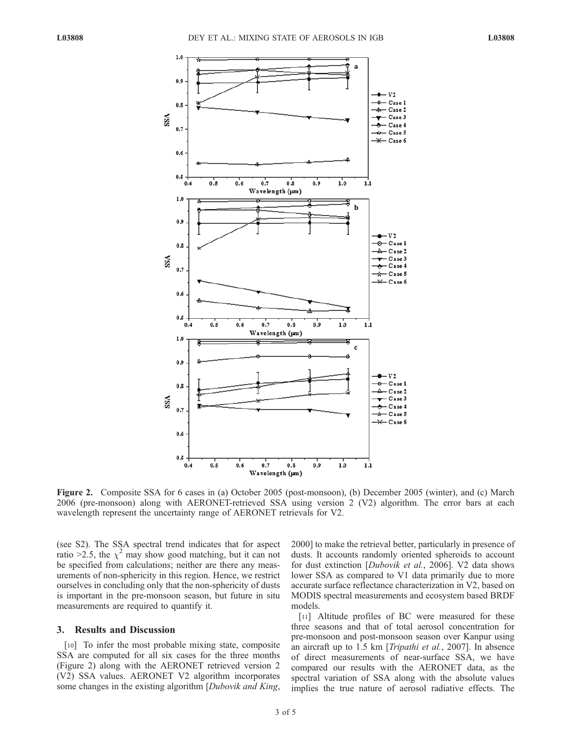

Figure 2. Composite SSA for 6 cases in (a) October 2005 (post-monsoon), (b) December 2005 (winter), and (c) March 2006 (pre-monsoon) along with AERONET-retrieved SSA using version 2 (V2) algorithm. The error bars at each wavelength represent the uncertainty range of AERONET retrievals for V2.

(see S2). The SSA spectral trend indicates that for aspect ratio >2.5, the  $\chi^2$  may show good matching, but it can not be specified from calculations; neither are there any measurements of non-sphericity in this region. Hence, we restrict ourselves in concluding only that the non-sphericity of dusts is important in the pre-monsoon season, but future in situ measurements are required to quantify it.

#### 3. Results and Discussion

[10] To infer the most probable mixing state, composite SSA are computed for all six cases for the three months (Figure 2) along with the AERONET retrieved version 2 (V2) SSA values. AERONET V2 algorithm incorporates some changes in the existing algorithm [*Dubovik and King*,

2000] to make the retrieval better, particularly in presence of dusts. It accounts randomly oriented spheroids to account for dust extinction [Dubovik et al., 2006]. V2 data shows lower SSA as compared to V1 data primarily due to more accurate surface reflectance characterization in V2, based on MODIS spectral measurements and ecosystem based BRDF models.

[11] Altitude profiles of BC were measured for these three seasons and that of total aerosol concentration for pre-monsoon and post-monsoon season over Kanpur using an aircraft up to 1.5 km [Tripathi et al., 2007]. In absence of direct measurements of near-surface SSA, we have compared our results with the AERONET data, as the spectral variation of SSA along with the absolute values implies the true nature of aerosol radiative effects. The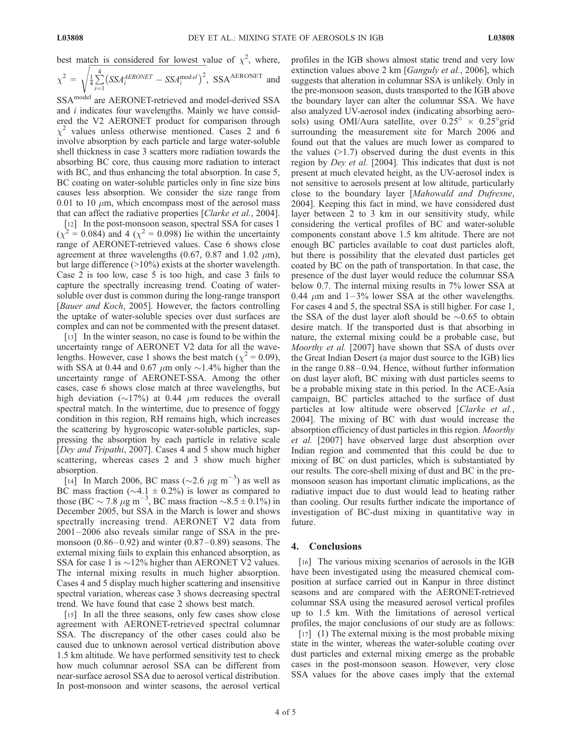best match is considered for lowest value of  $\chi^2$ , where,

$$
\chi^2 = \sqrt{\frac{1}{4} \sum_{i=1}^{4} \left( SSA_i^{AERONET} - SSA_i^{model} \right)^2}
$$
,  $SSA^{AERONET}$  and

SSAmodel are AERONET-retrieved and model-derived SSA and i indicates four wavelengths. Mainly we have considered the V2 AERONET product for comparison through  $\chi^2$  values unless otherwise mentioned. Cases 2 and 6 involve absorption by each particle and large water-soluble shell thickness in case 3 scatters more radiation towards the absorbing BC core, thus causing more radiation to interact with BC, and thus enhancing the total absorption. In case 5, BC coating on water-soluble particles only in fine size bins causes less absorption. We consider the size range from 0.01 to 10  $\mu$ m, which encompass most of the aerosol mass that can affect the radiative properties [Clarke et al., 2004].

[12] In the post-monsoon season, spectral SSA for cases 1  $(\chi^2 = 0.084)$  and 4  $(\chi^2 = 0.098)$  lie within the uncertainty range of AERONET-retrieved values. Case 6 shows close agreement at three wavelengths (0.67, 0.87 and 1.02  $\mu$ m), but large difference (>10%) exists at the shorter wavelength. Case 2 is too low, case 5 is too high, and case 3 fails to capture the spectrally increasing trend. Coating of watersoluble over dust is common during the long-range transport [Bauer and Koch, 2005]. However, the factors controlling the uptake of water-soluble species over dust surfaces are complex and can not be commented with the present dataset.

[13] In the winter season, no case is found to be within the uncertainty range of AERONET V2 data for all the wavelengths. However, case 1 shows the best match ( $\chi^2$  = 0.09), with SSA at 0.44 and 0.67  $\mu$ m only  $\sim$ 1.4% higher than the uncertainty range of AERONET-SSA. Among the other cases, case 6 shows close match at three wavelengths, but high deviation ( $\sim$ 17%) at 0.44  $\mu$ m reduces the overall spectral match. In the wintertime, due to presence of foggy condition in this region, RH remains high, which increases the scattering by hygroscopic water-soluble particles, suppressing the absorption by each particle in relative scale [Dey and Tripathi, 2007]. Cases 4 and 5 show much higher scattering, whereas cases 2 and 3 show much higher absorption.

[14] In March 2006, BC mass ( $\sim$ 2.6  $\mu$ g m<sup>-3</sup>) as well as BC mass fraction ( $\sim$ 4.1  $\pm$  0.2%) is lower as compared to those (BC  $\sim$  7.8  $\mu$ g m<sup>-3</sup>, BC mass fraction  $\sim$ 8.5  $\pm$  0.1%) in December 2005, but SSA in the March is lower and shows spectrally increasing trend. AERONET V2 data from 2001 – 2006 also reveals similar range of SSA in the premonsoon  $(0.86 - 0.92)$  and winter  $(0.87 - 0.89)$  seasons. The external mixing fails to explain this enhanced absorption, as SSA for case 1 is  $\sim$ 12% higher than AERONET V2 values. The internal mixing results in much higher absorption. Cases 4 and 5 display much higher scattering and insensitive spectral variation, whereas case 3 shows decreasing spectral trend. We have found that case 2 shows best match.

[15] In all the three seasons, only few cases show close agreement with AERONET-retrieved spectral columnar SSA. The discrepancy of the other cases could also be caused due to unknown aerosol vertical distribution above 1.5 km altitude. We have performed sensitivity test to check how much columnar aerosol SSA can be different from near-surface aerosol SSA due to aerosol vertical distribution. In post-monsoon and winter seasons, the aerosol vertical profiles in the IGB shows almost static trend and very low extinction values above 2 km [Ganguly et al., 2006], which suggests that alteration in columnar SSA is unlikely. Only in the pre-monsoon season, dusts transported to the IGB above the boundary layer can alter the columnar SSA. We have also analyzed UV-aerosol index (indicating absorbing aerosols) using OMI/Aura satellite, over  $0.25^{\circ} \times 0.25^{\circ}$ grid surrounding the measurement site for March 2006 and found out that the values are much lower as compared to the values  $(>1.7)$  observed during the dust events in this region by Dey et al. [2004]. This indicates that dust is not present at much elevated height, as the UV-aerosol index is not sensitive to aerosols present at low altitude, particularly close to the boundary layer [Mahowald and Dufresne, 2004]. Keeping this fact in mind, we have considered dust layer between 2 to 3 km in our sensitivity study, while considering the vertical profiles of BC and water-soluble components constant above 1.5 km altitude. There are not enough BC particles available to coat dust particles aloft, but there is possibility that the elevated dust particles get coated by BC on the path of transportation. In that case, the presence of the dust layer would reduce the columnar SSA below 0.7. The internal mixing results in 7% lower SSA at 0.44  $\mu$ m and 1–3% lower SSA at the other wavelengths. For cases 4 and 5, the spectral SSA is still higher. For case 1, the SSA of the dust layer aloft should be  $\sim 0.65$  to obtain desire match. If the transported dust is that absorbing in nature, the external mixing could be a probable case, but Moorthy et al. [2007] have shown that SSA of dusts over the Great Indian Desert (a major dust source to the IGB) lies in the range  $0.88 - 0.94$ . Hence, without further information on dust layer aloft, BC mixing with dust particles seems to be a probable mixing state in this period. In the ACE-Asia campaign, BC particles attached to the surface of dust particles at low altitude were observed [Clarke et al., 2004]. The mixing of BC with dust would increase the absorption efficiency of dust particles in this region. Moorthy et al. [2007] have observed large dust absorption over Indian region and commented that this could be due to mixing of BC on dust particles, which is substantiated by our results. The core-shell mixing of dust and BC in the premonsoon season has important climatic implications, as the radiative impact due to dust would lead to heating rather than cooling. Our results further indicate the importance of investigation of BC-dust mixing in quantitative way in future.

### 4. Conclusions

[16] The various mixing scenarios of aerosols in the IGB have been investigated using the measured chemical composition at surface carried out in Kanpur in three distinct seasons and are compared with the AERONET-retrieved columnar SSA using the measured aerosol vertical profiles up to 1.5 km. With the limitations of aerosol vertical profiles, the major conclusions of our study are as follows:

[17] (1) The external mixing is the most probable mixing state in the winter, whereas the water-soluble coating over dust particles and external mixing emerge as the probable cases in the post-monsoon season. However, very close SSA values for the above cases imply that the external